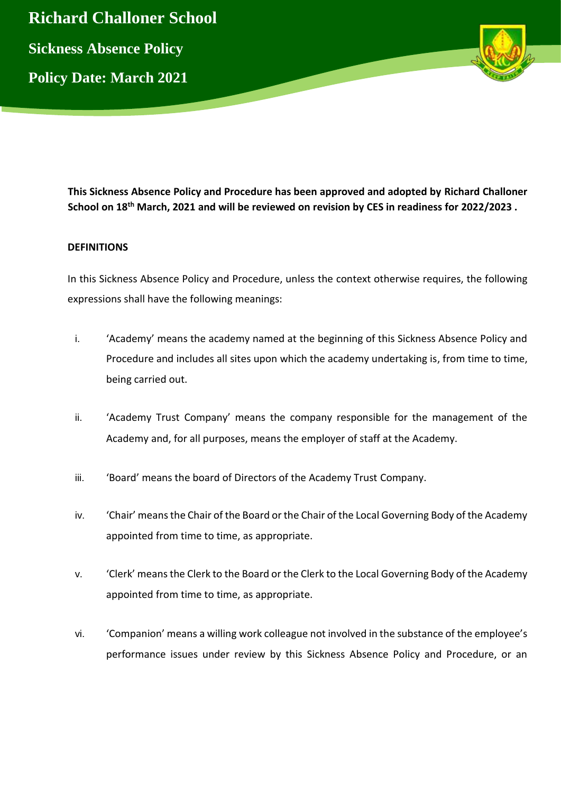

**This Sickness Absence Policy and Procedure has been approved and adopted by Richard Challoner School on 18th March, 2021 and will be reviewed on revision by CES in readiness for 2022/2023 .** 

## **DEFINITIONS**

In this Sickness Absence Policy and Procedure, unless the context otherwise requires, the following expressions shall have the following meanings:

- i. 'Academy' means the academy named at the beginning of this Sickness Absence Policy and Procedure and includes all sites upon which the academy undertaking is, from time to time, being carried out.
- ii. 'Academy Trust Company' means the company responsible for the management of the Academy and, for all purposes, means the employer of staff at the Academy.
- iii. 'Board' means the board of Directors of the Academy Trust Company.
- iv. 'Chair' means the Chair of the Board or the Chair of the Local Governing Body of the Academy appointed from time to time, as appropriate.
- v. 'Clerk' means the Clerk to the Board or the Clerk to the Local Governing Body of the Academy appointed from time to time, as appropriate.
- vi. 'Companion' means a willing work colleague not involved in the substance of the employee's performance issues under review by this Sickness Absence Policy and Procedure, or an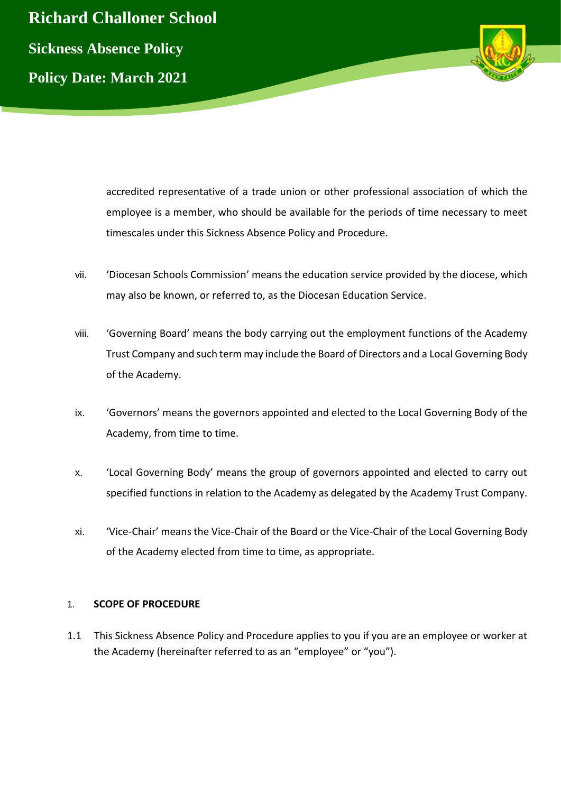



accredited representative of a trade union or other professional association of which the employee is a member, who should be available for the periods of time necessary to meet timescales under this Sickness Absence Policy and Procedure.

- vii. 'Diocesan Schools Commission' means the education service provided by the diocese, which may also be known, or referred to, as the Diocesan Education Service.
- viii. 'Governing Board' means the body carrying out the employment functions of the Academy Trust Company and such term may include the Board of Directors and a Local Governing Body of the Academy.
- ix. 'Governors' means the governors appointed and elected to the Local Governing Body of the Academy, from time to time.
- x. 'Local Governing Body' means the group of governors appointed and elected to carry out specified functions in relation to the Academy as delegated by the Academy Trust Company.
- xi. 'Vice-Chair' means the Vice-Chair of the Board or the Vice-Chair of the Local Governing Body of the Academy elected from time to time, as appropriate.

## 1. **SCOPE OF PROCEDURE**

1.1 This Sickness Absence Policy and Procedure applies to you if you are an employee or worker at the Academy (hereinafter referred to as an "employee" or "you").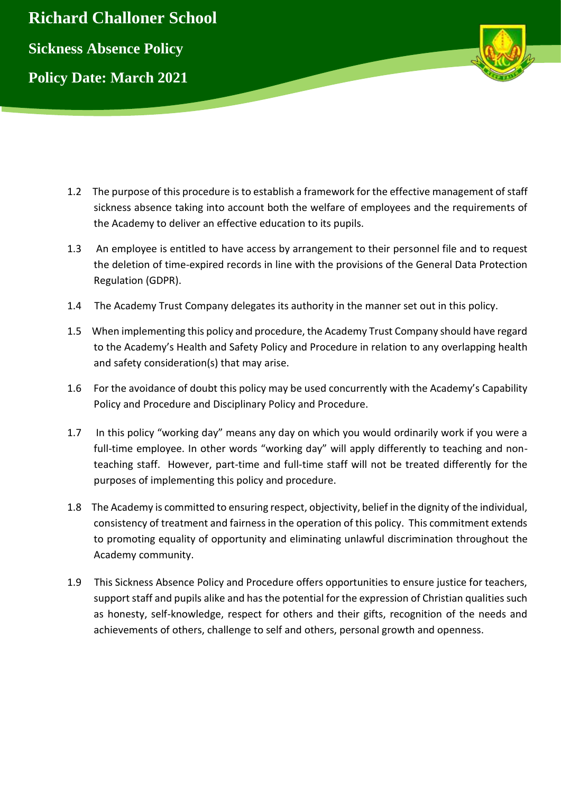

- 1.2 The purpose of this procedure is to establish a framework for the effective management of staff sickness absence taking into account both the welfare of employees and the requirements of the Academy to deliver an effective education to its pupils.
- 1.3 An employee is entitled to have access by arrangement to their personnel file and to request the deletion of time-expired records in line with the provisions of the General Data Protection Regulation (GDPR).
- 1.4 The Academy Trust Company delegates its authority in the manner set out in this policy.
- 1.5 When implementing this policy and procedure, the Academy Trust Company should have regard to the Academy's Health and Safety Policy and Procedure in relation to any overlapping health and safety consideration(s) that may arise.
- 1.6 For the avoidance of doubt this policy may be used concurrently with the Academy's Capability Policy and Procedure and Disciplinary Policy and Procedure.
- 1.7 In this policy "working day" means any day on which you would ordinarily work if you were a full-time employee. In other words "working day" will apply differently to teaching and nonteaching staff. However, part-time and full-time staff will not be treated differently for the purposes of implementing this policy and procedure.
- 1.8 The Academy is committed to ensuring respect, objectivity, belief in the dignity of the individual, consistency of treatment and fairness in the operation of this policy. This commitment extends to promoting equality of opportunity and eliminating unlawful discrimination throughout the Academy community.
- 1.9 This Sickness Absence Policy and Procedure offers opportunities to ensure justice for teachers, support staff and pupils alike and has the potential for the expression of Christian qualities such as honesty, self-knowledge, respect for others and their gifts, recognition of the needs and achievements of others, challenge to self and others, personal growth and openness.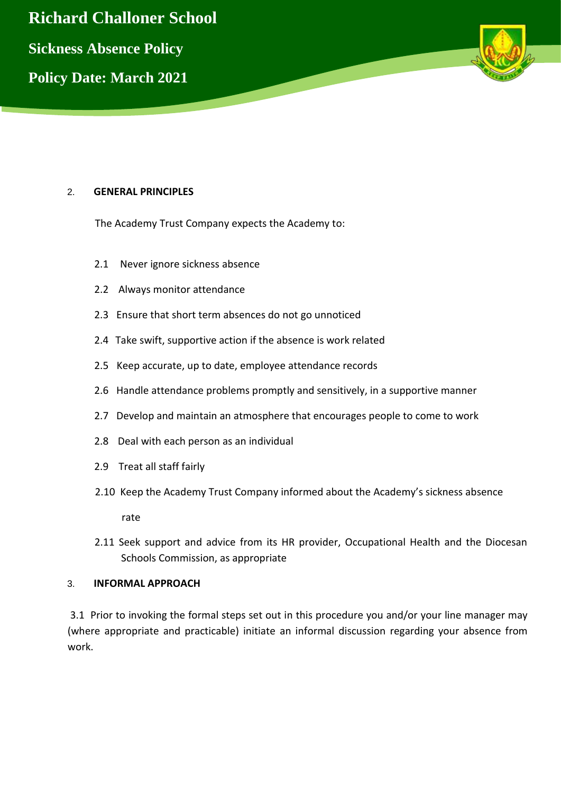**Richard Challoner School Sickness Absence Policy Policy Date: March 2021**

### 2. **GENERAL PRINCIPLES**

The Academy Trust Company expects the Academy to:

- 2.1 Never ignore sickness absence
- 2.2 Always monitor attendance
- 2.3 Ensure that short term absences do not go unnoticed
- 2.4 Take swift, supportive action if the absence is work related
- 2.5 Keep accurate, up to date, employee attendance records
- 2.6 Handle attendance problems promptly and sensitively, in a supportive manner
- 2.7 Develop and maintain an atmosphere that encourages people to come to work
- 2.8 Deal with each person as an individual
- 2.9 Treat all staff fairly
- 2.10 Keep the Academy Trust Company informed about the Academy's sickness absence

rate

2.11 Seek support and advice from its HR provider, Occupational Health and the Diocesan Schools Commission, as appropriate

### 3. **INFORMAL APPROACH**

3.1 Prior to invoking the formal steps set out in this procedure you and/or your line manager may (where appropriate and practicable) initiate an informal discussion regarding your absence from work.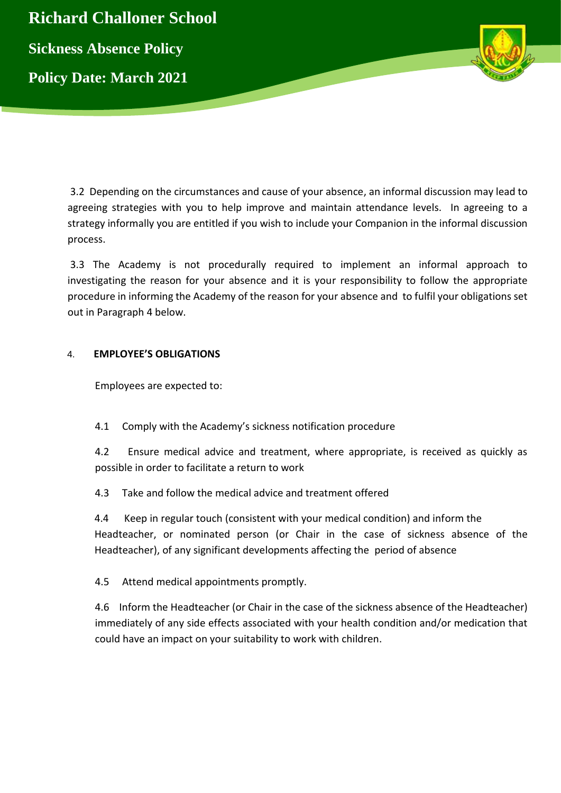

3.2 Depending on the circumstances and cause of your absence, an informal discussion may lead to agreeing strategies with you to help improve and maintain attendance levels. In agreeing to a strategy informally you are entitled if you wish to include your Companion in the informal discussion process.

3.3 The Academy is not procedurally required to implement an informal approach to investigating the reason for your absence and it is your responsibility to follow the appropriate procedure in informing the Academy of the reason for your absence and to fulfil your obligations set out in Paragraph 4 below.

## 4. **EMPLOYEE'S OBLIGATIONS**

Employees are expected to:

4.1 Comply with the Academy's sickness notification procedure

4.2 Ensure medical advice and treatment, where appropriate, is received as quickly as possible in order to facilitate a return to work

4.3 Take and follow the medical advice and treatment offered

4.4 Keep in regular touch (consistent with your medical condition) and inform the Headteacher, or nominated person (or Chair in the case of sickness absence of the Headteacher), of any significant developments affecting the period of absence

4.5 Attend medical appointments promptly.

4.6 Inform the Headteacher (or Chair in the case of the sickness absence of the Headteacher) immediately of any side effects associated with your health condition and/or medication that could have an impact on your suitability to work with children.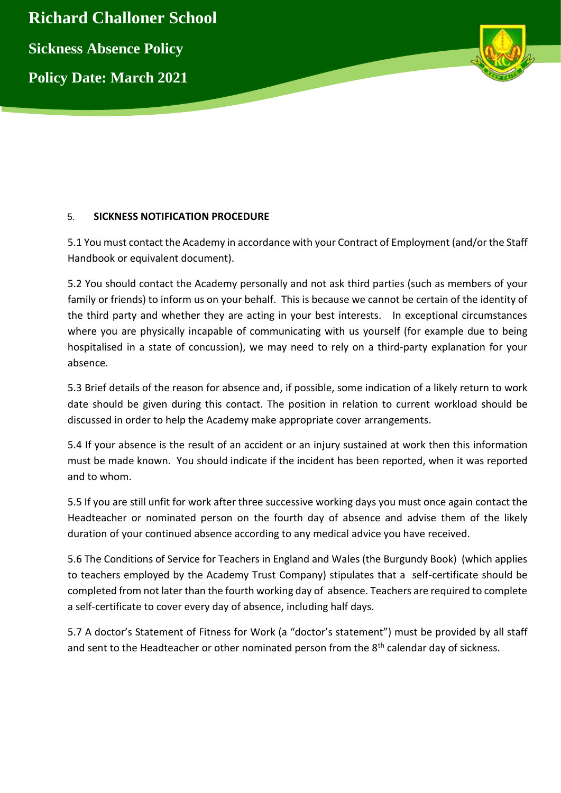



## 5. **SICKNESS NOTIFICATION PROCEDURE**

5.1 You must contact the Academy in accordance with your Contract of Employment (and/or the Staff Handbook or equivalent document).

5.2 You should contact the Academy personally and not ask third parties (such as members of your family or friends) to inform us on your behalf. This is because we cannot be certain of the identity of the third party and whether they are acting in your best interests. In exceptional circumstances where you are physically incapable of communicating with us yourself (for example due to being hospitalised in a state of concussion), we may need to rely on a third-party explanation for your absence.

5.3 Brief details of the reason for absence and, if possible, some indication of a likely return to work date should be given during this contact. The position in relation to current workload should be discussed in order to help the Academy make appropriate cover arrangements.

5.4 If your absence is the result of an accident or an injury sustained at work then this information must be made known. You should indicate if the incident has been reported, when it was reported and to whom.

5.5 If you are still unfit for work after three successive working days you must once again contact the Headteacher or nominated person on the fourth day of absence and advise them of the likely duration of your continued absence according to any medical advice you have received.

5.6 The Conditions of Service for Teachers in England and Wales (the Burgundy Book) (which applies to teachers employed by the Academy Trust Company) stipulates that a self-certificate should be completed from not later than the fourth working day of absence. Teachers are required to complete a self-certificate to cover every day of absence, including half days.

5.7 A doctor's Statement of Fitness for Work (a "doctor's statement") must be provided by all staff and sent to the Headteacher or other nominated person from the 8<sup>th</sup> calendar day of sickness.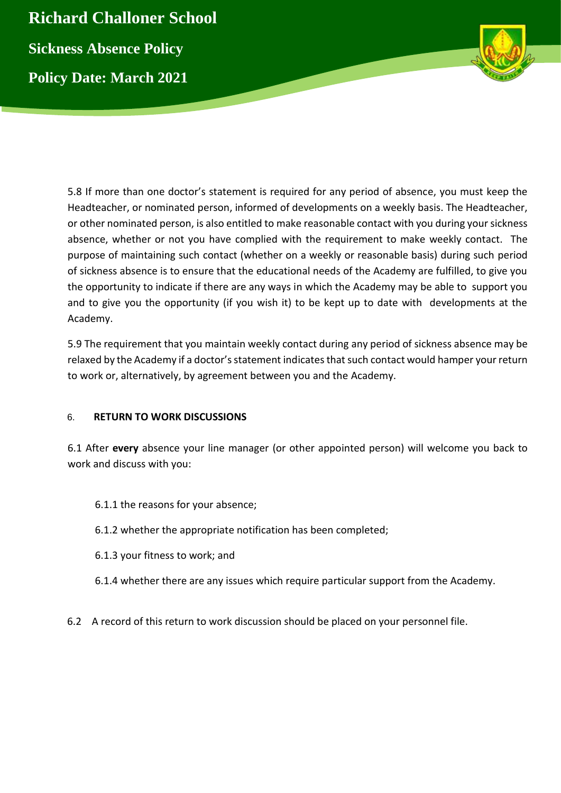**Richard Challoner School Sickness Absence Policy Policy Date: March 2021**



5.8 If more than one doctor's statement is required for any period of absence, you must keep the Headteacher, or nominated person, informed of developments on a weekly basis. The Headteacher, or other nominated person, is also entitled to make reasonable contact with you during your sickness absence, whether or not you have complied with the requirement to make weekly contact. The purpose of maintaining such contact (whether on a weekly or reasonable basis) during such period of sickness absence is to ensure that the educational needs of the Academy are fulfilled, to give you the opportunity to indicate if there are any ways in which the Academy may be able to support you and to give you the opportunity (if you wish it) to be kept up to date with developments at the Academy.

5.9 The requirement that you maintain weekly contact during any period of sickness absence may be relaxed by the Academy if a doctor's statement indicates that such contact would hamper your return to work or, alternatively, by agreement between you and the Academy.

## 6. **RETURN TO WORK DISCUSSIONS**

6.1 After **every** absence your line manager (or other appointed person) will welcome you back to work and discuss with you:

- 6.1.1 the reasons for your absence;
- 6.1.2 whether the appropriate notification has been completed;
- 6.1.3 your fitness to work; and
- 6.1.4 whether there are any issues which require particular support from the Academy.
- 6.2 A record of this return to work discussion should be placed on your personnel file.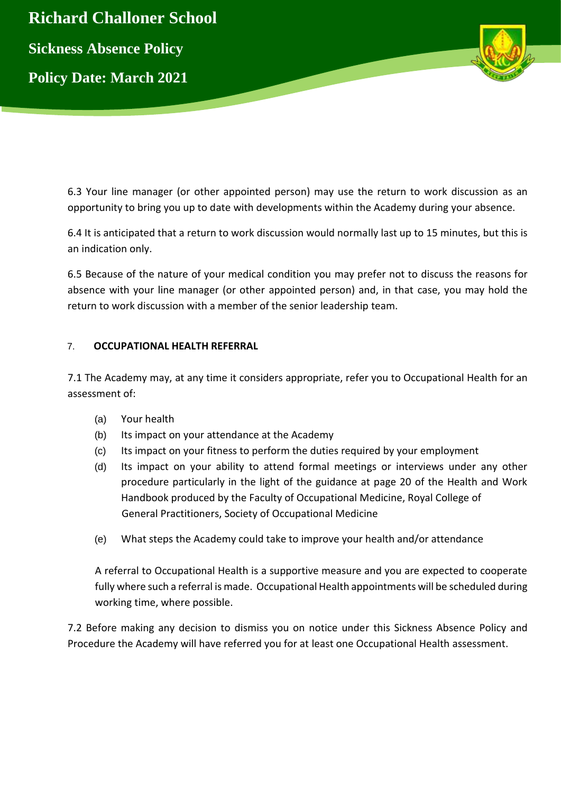

6.3 Your line manager (or other appointed person) may use the return to work discussion as an opportunity to bring you up to date with developments within the Academy during your absence.

6.4 It is anticipated that a return to work discussion would normally last up to 15 minutes, but this is an indication only.

6.5 Because of the nature of your medical condition you may prefer not to discuss the reasons for absence with your line manager (or other appointed person) and, in that case, you may hold the return to work discussion with a member of the senior leadership team.

## 7. **OCCUPATIONAL HEALTH REFERRAL**

7.1 The Academy may, at any time it considers appropriate, refer you to Occupational Health for an assessment of:

- (a) Your health
- (b) Its impact on your attendance at the Academy
- (c) Its impact on your fitness to perform the duties required by your employment
- (d) Its impact on your ability to attend formal meetings or interviews under any other procedure particularly in the light of the guidance at page 20 of the Health and Work Handbook produced by the Faculty of Occupational Medicine, Royal College of General Practitioners, Society of Occupational Medicine
- (e) What steps the Academy could take to improve your health and/or attendance

A referral to Occupational Health is a supportive measure and you are expected to cooperate fully where such a referral is made. Occupational Health appointments will be scheduled during working time, where possible.

7.2 Before making any decision to dismiss you on notice under this Sickness Absence Policy and Procedure the Academy will have referred you for at least one Occupational Health assessment.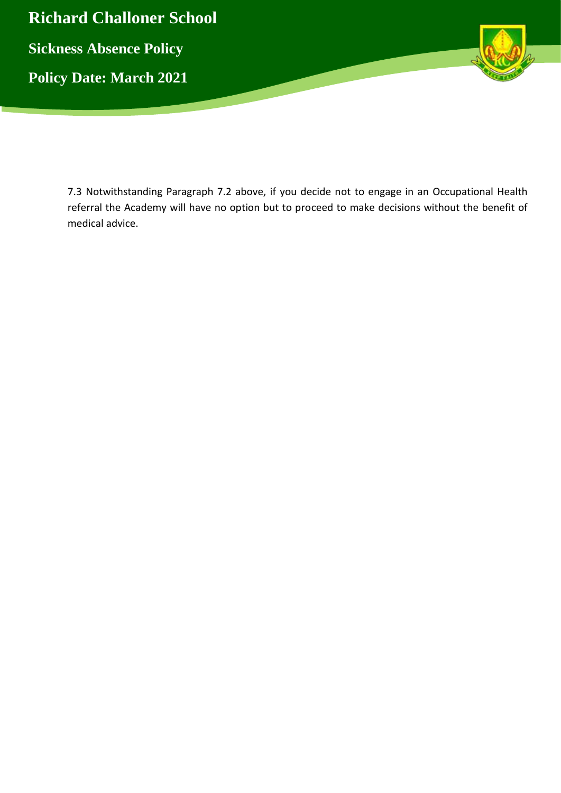

7.3 Notwithstanding Paragraph 7.2 above, if you decide not to engage in an Occupational Health referral the Academy will have no option but to proceed to make decisions without the benefit of medical advice.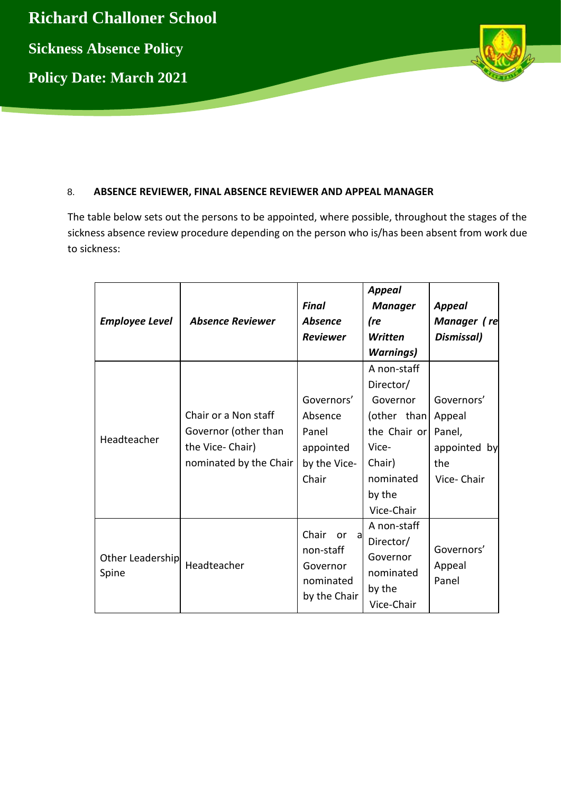

# 8. **ABSENCE REVIEWER, FINAL ABSENCE REVIEWER AND APPEAL MANAGER**

The table below sets out the persons to be appointed, where possible, throughout the stages of the sickness absence review procedure depending on the person who is/has been absent from work due to sickness:

| <b>Employee Level</b>     | <b>Absence Reviewer</b>                                                                   | Final<br><b>Absence</b><br><b>Reviewer</b>                           | <b>Appeal</b><br><b>Manager</b><br>(re<br>Written<br><b>Warnings)</b>                                                       | Appeal<br>Manager (re<br>Dismissal)                                 |
|---------------------------|-------------------------------------------------------------------------------------------|----------------------------------------------------------------------|-----------------------------------------------------------------------------------------------------------------------------|---------------------------------------------------------------------|
| Headteacher               | Chair or a Non staff<br>Governor (other than<br>the Vice-Chair)<br>nominated by the Chair | Governors'<br>Absence<br>Panel<br>appointed<br>by the Vice-<br>Chair | A non-staff<br>Director/<br>Governor<br>(other than<br>the Chair or<br>Vice-<br>Chair)<br>nominated<br>by the<br>Vice-Chair | Governors'<br>Appeal<br>Panel,<br>appointed by<br>the<br>Vice-Chair |
| Other Leadership<br>Spine | Headteacher                                                                               | Chair<br>or a<br>non-staff<br>Governor<br>nominated<br>by the Chair  | A non-staff<br>Director/<br>Governor<br>nominated<br>by the<br>Vice-Chair                                                   | Governors'<br>Appeal<br>Panel                                       |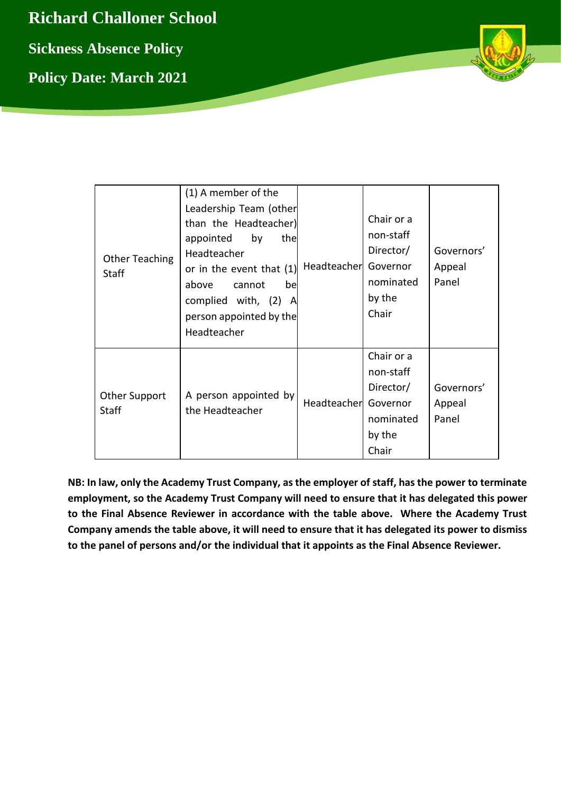**Richard Challoner School Sickness Absence Policy Policy Date: March 2021**



| <b>Other Teaching</b><br><b>Staff</b> | (1) A member of the<br>Leadership Team (other<br>than the Headteacher)<br>by<br>appointed<br>thel<br>Headteacher<br>or in the event that (1)<br>above<br>cannot<br>be<br>complied with, (2) A<br>person appointed by the<br>Headteacher | Headteacher | Chair or a<br>non-staff<br>Director/<br>Governor<br>nominated<br>by the<br>Chair | Governors'<br>Appeal<br>Panel |
|---------------------------------------|-----------------------------------------------------------------------------------------------------------------------------------------------------------------------------------------------------------------------------------------|-------------|----------------------------------------------------------------------------------|-------------------------------|
| Other Support<br><b>Staff</b>         | A person appointed by<br>the Headteacher                                                                                                                                                                                                | Headteacher | Chair or a<br>non-staff<br>Director/<br>Governor<br>nominated<br>by the<br>Chair | Governors'<br>Appeal<br>Panel |

**NB: In law, only the Academy Trust Company, as the employer of staff, has the power to terminate employment, so the Academy Trust Company will need to ensure that it has delegated this power to the Final Absence Reviewer in accordance with the table above. Where the Academy Trust Company amends the table above, it will need to ensure that it has delegated its power to dismiss to the panel of persons and/or the individual that it appoints as the Final Absence Reviewer.**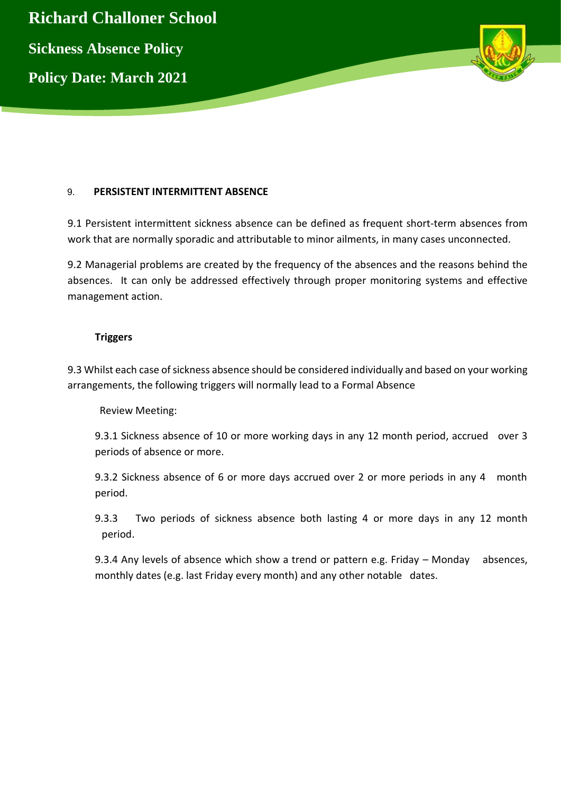

## 9. **PERSISTENT INTERMITTENT ABSENCE**

9.1 Persistent intermittent sickness absence can be defined as frequent short-term absences from work that are normally sporadic and attributable to minor ailments, in many cases unconnected.

9.2 Managerial problems are created by the frequency of the absences and the reasons behind the absences. It can only be addressed effectively through proper monitoring systems and effective management action.

### **Triggers**

9.3 Whilst each case of sickness absence should be considered individually and based on your working arrangements, the following triggers will normally lead to a Formal Absence

Review Meeting:

9.3.1 Sickness absence of 10 or more working days in any 12 month period, accrued over 3 periods of absence or more.

9.3.2 Sickness absence of 6 or more days accrued over 2 or more periods in any 4 month period.

9.3.3 Two periods of sickness absence both lasting 4 or more days in any 12 month period.

9.3.4 Any levels of absence which show a trend or pattern e.g. Friday – Monday absences, monthly dates (e.g. last Friday every month) and any other notable dates.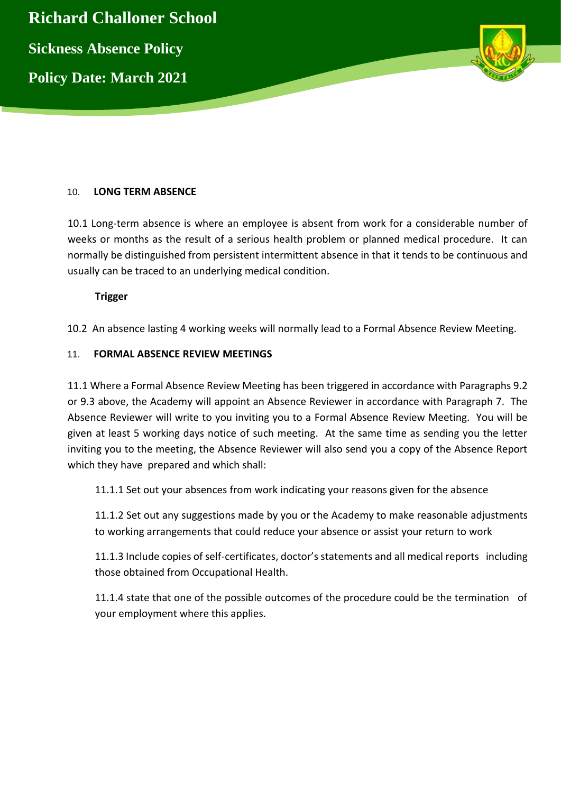

## 10. **LONG TERM ABSENCE**

10.1 Long-term absence is where an employee is absent from work for a considerable number of weeks or months as the result of a serious health problem or planned medical procedure. It can normally be distinguished from persistent intermittent absence in that it tends to be continuous and usually can be traced to an underlying medical condition.

### **Trigger**

10.2 An absence lasting 4 working weeks will normally lead to a Formal Absence Review Meeting.

### 11. **FORMAL ABSENCE REVIEW MEETINGS**

11.1 Where a Formal Absence Review Meeting has been triggered in accordance with Paragraphs 9.2 or 9.3 above, the Academy will appoint an Absence Reviewer in accordance with Paragraph 7. The Absence Reviewer will write to you inviting you to a Formal Absence Review Meeting. You will be given at least 5 working days notice of such meeting. At the same time as sending you the letter inviting you to the meeting, the Absence Reviewer will also send you a copy of the Absence Report which they have prepared and which shall:

11.1.1 Set out your absences from work indicating your reasons given for the absence

11.1.2 Set out any suggestions made by you or the Academy to make reasonable adjustments to working arrangements that could reduce your absence or assist your return to work

11.1.3 Include copies of self-certificates, doctor's statements and all medical reports including those obtained from Occupational Health.

11.1.4 state that one of the possible outcomes of the procedure could be the termination of your employment where this applies.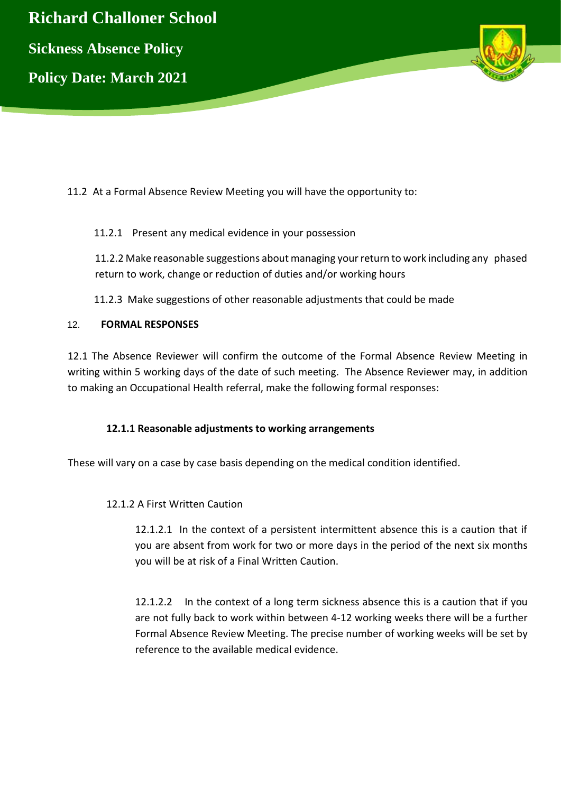

11.2 At a Formal Absence Review Meeting you will have the opportunity to:

## 11.2.1 Present any medical evidence in your possession

11.2.2 Make reasonable suggestions about managing your return to work including any phased return to work, change or reduction of duties and/or working hours

11.2.3 Make suggestions of other reasonable adjustments that could be made

## 12. **FORMAL RESPONSES**

12.1 The Absence Reviewer will confirm the outcome of the Formal Absence Review Meeting in writing within 5 working days of the date of such meeting. The Absence Reviewer may, in addition to making an Occupational Health referral, make the following formal responses:

## **12.1.1 Reasonable adjustments to working arrangements**

These will vary on a case by case basis depending on the medical condition identified.

### 12.1.2 A First Written Caution

12.1.2.1 In the context of a persistent intermittent absence this is a caution that if you are absent from work for two or more days in the period of the next six months you will be at risk of a Final Written Caution.

12.1.2.2 In the context of a long term sickness absence this is a caution that if you are not fully back to work within between 4-12 working weeks there will be a further Formal Absence Review Meeting. The precise number of working weeks will be set by reference to the available medical evidence.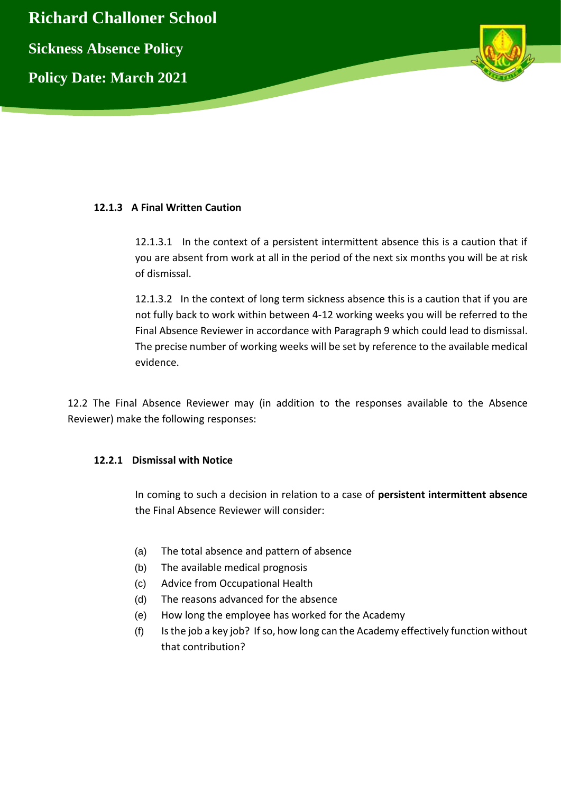

## **12.1.3 A Final Written Caution**

12.1.3.1 In the context of a persistent intermittent absence this is a caution that if you are absent from work at all in the period of the next six months you will be at risk of dismissal.

12.1.3.2 In the context of long term sickness absence this is a caution that if you are not fully back to work within between 4-12 working weeks you will be referred to the Final Absence Reviewer in accordance with Paragraph 9 which could lead to dismissal. The precise number of working weeks will be set by reference to the available medical evidence.

12.2 The Final Absence Reviewer may (in addition to the responses available to the Absence Reviewer) make the following responses:

### **12.2.1 Dismissal with Notice**

In coming to such a decision in relation to a case of **persistent intermittent absence** the Final Absence Reviewer will consider:

- (a) The total absence and pattern of absence
- (b) The available medical prognosis
- (c) Advice from Occupational Health
- (d) The reasons advanced for the absence
- (e) How long the employee has worked for the Academy
- (f) Is the job a key job? If so, how long can the Academy effectively function without that contribution?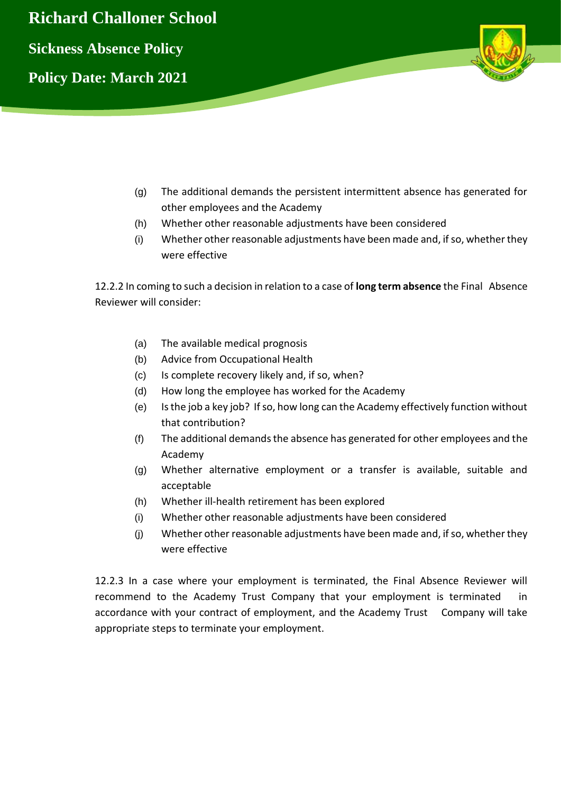

- (g) The additional demands the persistent intermittent absence has generated for other employees and the Academy
- (h) Whether other reasonable adjustments have been considered
- (i) Whether other reasonable adjustments have been made and, if so, whether they were effective

12.2.2 In coming to such a decision in relation to a case of **long term absence** the Final Absence Reviewer will consider:

- (a) The available medical prognosis
- (b) Advice from Occupational Health
- (c) Is complete recovery likely and, if so, when?
- (d) How long the employee has worked for the Academy
- (e) Is the job a key job? If so, how long can the Academy effectively function without that contribution?
- (f) The additional demands the absence has generated for other employees and the Academy
- (g) Whether alternative employment or a transfer is available, suitable and acceptable
- (h) Whether ill-health retirement has been explored
- (i) Whether other reasonable adjustments have been considered
- (j) Whether other reasonable adjustments have been made and, if so, whether they were effective

12.2.3 In a case where your employment is terminated, the Final Absence Reviewer will recommend to the Academy Trust Company that your employment is terminated in accordance with your contract of employment, and the Academy Trust Company will take appropriate steps to terminate your employment.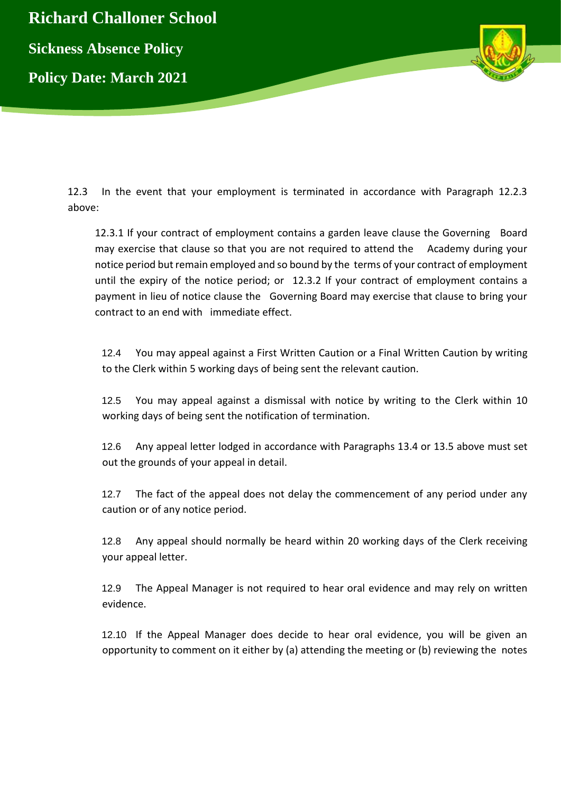

12.3 In the event that your employment is terminated in accordance with Paragraph 12.2.3 above:

12.3.1 If your contract of employment contains a garden leave clause the Governing Board may exercise that clause so that you are not required to attend the Academy during your notice period but remain employed and so bound by the terms of your contract of employment until the expiry of the notice period; or 12.3.2 If your contract of employment contains a payment in lieu of notice clause the Governing Board may exercise that clause to bring your contract to an end with immediate effect.

12.4 You may appeal against a First Written Caution or a Final Written Caution by writing to the Clerk within 5 working days of being sent the relevant caution.

12.5 You may appeal against a dismissal with notice by writing to the Clerk within 10 working days of being sent the notification of termination.

12.6 Any appeal letter lodged in accordance with Paragraphs 13.4 or 13.5 above must set out the grounds of your appeal in detail.

12.7 The fact of the appeal does not delay the commencement of any period under any caution or of any notice period.

12.8 Any appeal should normally be heard within 20 working days of the Clerk receiving your appeal letter.

12.9 The Appeal Manager is not required to hear oral evidence and may rely on written evidence.

12.10 If the Appeal Manager does decide to hear oral evidence, you will be given an opportunity to comment on it either by (a) attending the meeting or (b) reviewing the notes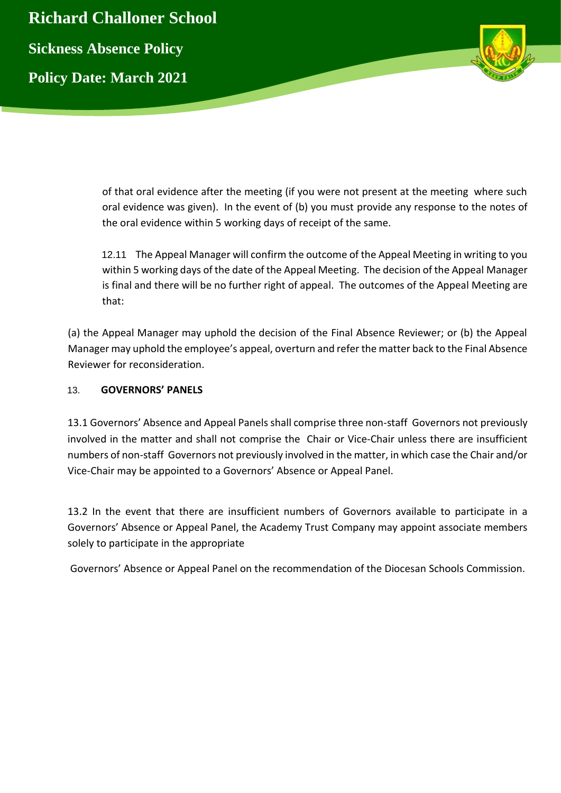

of that oral evidence after the meeting (if you were not present at the meeting where such oral evidence was given). In the event of (b) you must provide any response to the notes of the oral evidence within 5 working days of receipt of the same.

12.11 The Appeal Manager will confirm the outcome of the Appeal Meeting in writing to you within 5 working days of the date of the Appeal Meeting. The decision of the Appeal Manager is final and there will be no further right of appeal. The outcomes of the Appeal Meeting are that:

(a) the Appeal Manager may uphold the decision of the Final Absence Reviewer; or (b) the Appeal Manager may uphold the employee's appeal, overturn and refer the matter back to the Final Absence Reviewer for reconsideration.

## 13. **GOVERNORS' PANELS**

13.1 Governors' Absence and Appeal Panels shall comprise three non-staff Governors not previously involved in the matter and shall not comprise the Chair or Vice-Chair unless there are insufficient numbers of non-staff Governors not previously involved in the matter, in which case the Chair and/or Vice-Chair may be appointed to a Governors' Absence or Appeal Panel.

13.2 In the event that there are insufficient numbers of Governors available to participate in a Governors' Absence or Appeal Panel, the Academy Trust Company may appoint associate members solely to participate in the appropriate

Governors' Absence or Appeal Panel on the recommendation of the Diocesan Schools Commission.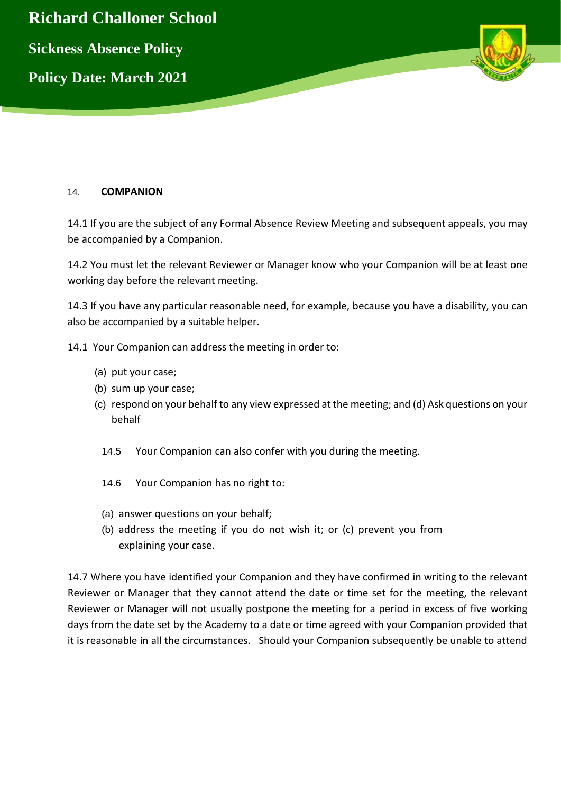

## 14. **COMPANION**

14.1 If you are the subject of any Formal Absence Review Meeting and subsequent appeals, you may be accompanied by a Companion.

14.2 You must let the relevant Reviewer or Manager know who your Companion will be at least one working day before the relevant meeting.

14.3 If you have any particular reasonable need, for example, because you have a disability, you can also be accompanied by a suitable helper.

- 14.1 Your Companion can address the meeting in order to:
	- (a) put your case;
	- (b) sum up your case;
	- (c) respond on your behalf to any view expressed at the meeting; and (d) Ask questions on your behalf
		- 14.5 Your Companion can also confer with you during the meeting.
		- 14.6 Your Companion has no right to:
		- (a) answer questions on your behalf;
		- (b) address the meeting if you do not wish it; or (c) prevent you from explaining your case.

14.7 Where you have identified your Companion and they have confirmed in writing to the relevant Reviewer or Manager that they cannot attend the date or time set for the meeting, the relevant Reviewer or Manager will not usually postpone the meeting for a period in excess of five working days from the date set by the Academy to a date or time agreed with your Companion provided that it is reasonable in all the circumstances. Should your Companion subsequently be unable to attend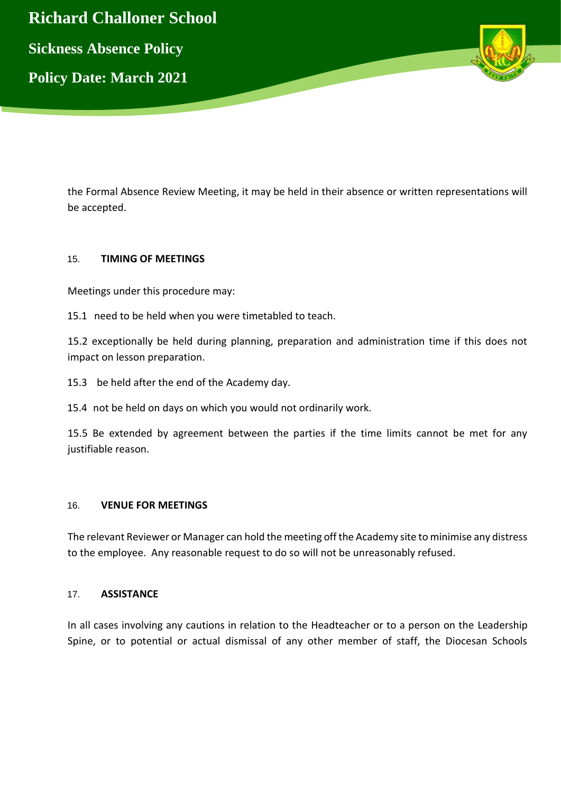

the Formal Absence Review Meeting, it may be held in their absence or written representations will be accepted.

## 15. **TIMING OF MEETINGS**

Meetings under this procedure may:

15.1 need to be held when you were timetabled to teach.

15.2 exceptionally be held during planning, preparation and administration time if this does not impact on lesson preparation.

15.3 be held after the end of the Academy day.

15.4 not be held on days on which you would not ordinarily work.

15.5 Be extended by agreement between the parties if the time limits cannot be met for any justifiable reason.

### 16. **VENUE FOR MEETINGS**

The relevant Reviewer or Manager can hold the meeting off the Academy site to minimise any distress to the employee. Any reasonable request to do so will not be unreasonably refused.

### 17. **ASSISTANCE**

In all cases involving any cautions in relation to the Headteacher or to a person on the Leadership Spine, or to potential or actual dismissal of any other member of staff, the Diocesan Schools